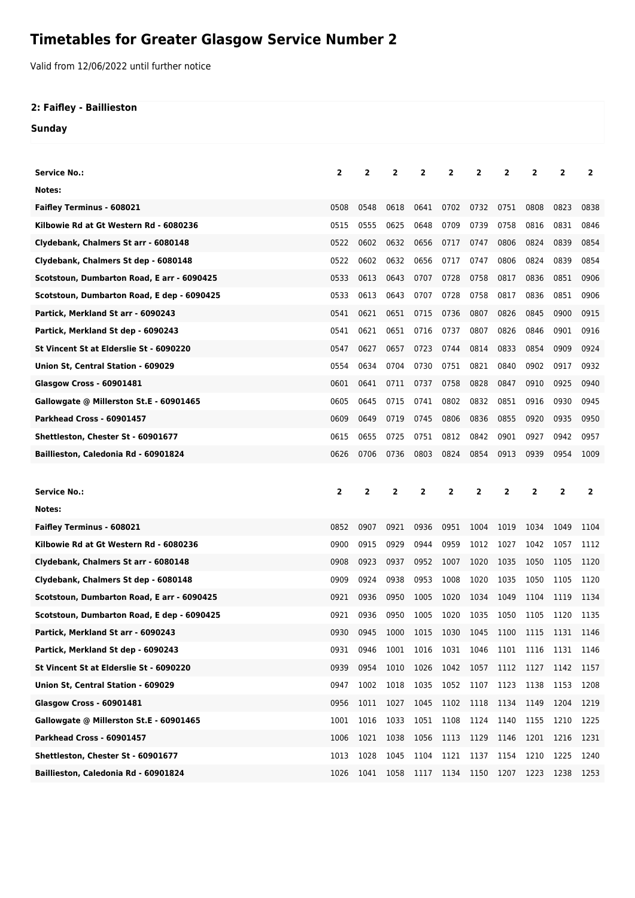## **Timetables for Greater Glasgow Service Number 2**

Valid from 12/06/2022 until further notice

## **2: Faifley - Baillieston**

**Sunday**

| <b>Service No.:</b>                        | $\overline{2}$ | 2    | 2            | 2    | $\overline{2}$ | 2              | 2    | $\mathbf{2}$   | 2              | 2            |
|--------------------------------------------|----------------|------|--------------|------|----------------|----------------|------|----------------|----------------|--------------|
| Notes:                                     |                |      |              |      |                |                |      |                |                |              |
| Faifley Terminus - 608021                  | 0508           | 0548 | 0618         | 0641 | 0702           | 0732           | 0751 | 0808           | 0823           | 0838         |
| Kilbowie Rd at Gt Western Rd - 6080236     | 0515           | 0555 | 0625         | 0648 | 0709           | 0739           | 0758 | 0816           | 0831           | 0846         |
| Clydebank, Chalmers St arr - 6080148       | 0522           | 0602 | 0632         | 0656 | 0717           | 0747           | 0806 | 0824           | 0839           | 0854         |
| Clydebank, Chalmers St dep - 6080148       | 0522           | 0602 | 0632         | 0656 | 0717           | 0747           | 0806 | 0824           | 0839           | 0854         |
| Scotstoun, Dumbarton Road, E arr - 6090425 | 0533           | 0613 | 0643         | 0707 | 0728           | 0758           | 0817 | 0836           | 0851           | 0906         |
| Scotstoun, Dumbarton Road, E dep - 6090425 | 0533           | 0613 | 0643         | 0707 | 0728           | 0758           | 0817 | 0836           | 0851           | 0906         |
| Partick, Merkland St arr - 6090243         | 0541           | 0621 | 0651         | 0715 | 0736           | 0807           | 0826 | 0845           | 0900           | 0915         |
| Partick, Merkland St dep - 6090243         | 0541           | 0621 | 0651         | 0716 | 0737           | 0807           | 0826 | 0846           | 0901           | 0916         |
| St Vincent St at Elderslie St - 6090220    | 0547           | 0627 | 0657         | 0723 | 0744           | 0814           | 0833 | 0854           | 0909           | 0924         |
| Union St, Central Station - 609029         | 0554           | 0634 | 0704         | 0730 | 0751           | 0821           | 0840 | 0902           | 0917           | 0932         |
| Glasgow Cross - 60901481                   | 0601           | 0641 | 0711         | 0737 | 0758           | 0828           | 0847 | 0910           | 0925           | 0940         |
| Gallowgate @ Millerston St.E - 60901465    | 0605           | 0645 | 0715         | 0741 | 0802           | 0832           | 0851 | 0916           | 0930           | 0945         |
| Parkhead Cross - 60901457                  | 0609           | 0649 | 0719         | 0745 | 0806           | 0836           | 0855 | 0920           | 0935           | 0950         |
| Shettleston, Chester St - 60901677         | 0615           | 0655 | 0725         | 0751 | 0812           | 0842           | 0901 | 0927           | 0942           | 0957         |
| Baillieston, Caledonia Rd - 60901824       | 0626           | 0706 | 0736         | 0803 | 0824           | 0854           | 0913 | 0939           | 0954           | 1009         |
|                                            |                |      |              |      |                |                |      |                |                |              |
|                                            |                |      |              |      |                |                |      |                |                |              |
| <b>Service No.:</b>                        | $\mathbf{2}$   | 2    | $\mathbf{2}$ | 2    | 2              | $\overline{2}$ | 2    | $\overline{2}$ | $\overline{2}$ | $\mathbf{2}$ |
| Notes:                                     |                |      |              |      |                |                |      |                |                |              |
| <b>Faifley Terminus - 608021</b>           | 0852           | 0907 | 0921         | 0936 | 0951           | 1004           | 1019 | 1034           | 1049           | 1104         |
| Kilbowie Rd at Gt Western Rd - 6080236     | 0900           | 0915 | 0929         | 0944 | 0959           | 1012           | 1027 | 1042           | 1057           | 1112         |
| Clydebank, Chalmers St arr - 6080148       | 0908           | 0923 | 0937         | 0952 | 1007           | 1020           | 1035 | 1050           | 1105           | 1120         |
| Clydebank, Chalmers St dep - 6080148       | 0909           | 0924 | 0938         | 0953 | 1008           | 1020           | 1035 | 1050           | 1105           | 1120         |
| Scotstoun, Dumbarton Road, E arr - 6090425 | 0921           | 0936 | 0950         | 1005 | 1020           | 1034           | 1049 | 1104           | 1119           | 1134         |
| Scotstoun, Dumbarton Road, E dep - 6090425 | 0921           | 0936 | 0950         | 1005 | 1020           | 1035           | 1050 | 1105           | 1120           | 1135         |
| Partick, Merkland St arr - 6090243         | 0930           | 0945 | 1000         | 1015 | 1030           | 1045           | 1100 | 1115           | 1131           | 1146         |
| Partick, Merkland St dep - 6090243         | 0931           | 0946 | 1001         | 1016 | 1031 1046      |                |      | 1101 1116 1131 |                | 1146         |
| St Vincent St at Elderslie St - 6090220    | 0939           | 0954 | 1010         | 1026 | 1042           | 1057           | 1112 | 1127           | 1142           | 1157         |
| Union St, Central Station - 609029         | 0947           | 1002 | 1018         | 1035 | 1052           | 1107           | 1123 | 1138           | 1153           | 1208         |
| <b>Glasgow Cross - 60901481</b>            | 0956           | 1011 | 1027         | 1045 | 1102 1118      |                | 1134 | 1149           | 1204           | 1219         |
| Gallowgate @ Millerston St.E - 60901465    | 1001           | 1016 | 1033         | 1051 | 1108           | 1124           | 1140 | 1155           | 1210           | 1225         |
| Parkhead Cross - 60901457                  | 1006           | 1021 | 1038         | 1056 | 1113           | 1129           | 1146 | 1201           | 1216           | 1231         |
| Shettleston, Chester St - 60901677         | 1013           | 1028 | 1045         | 1104 | 1121           | 1137           | 1154 | 1210           | 1225           | 1240         |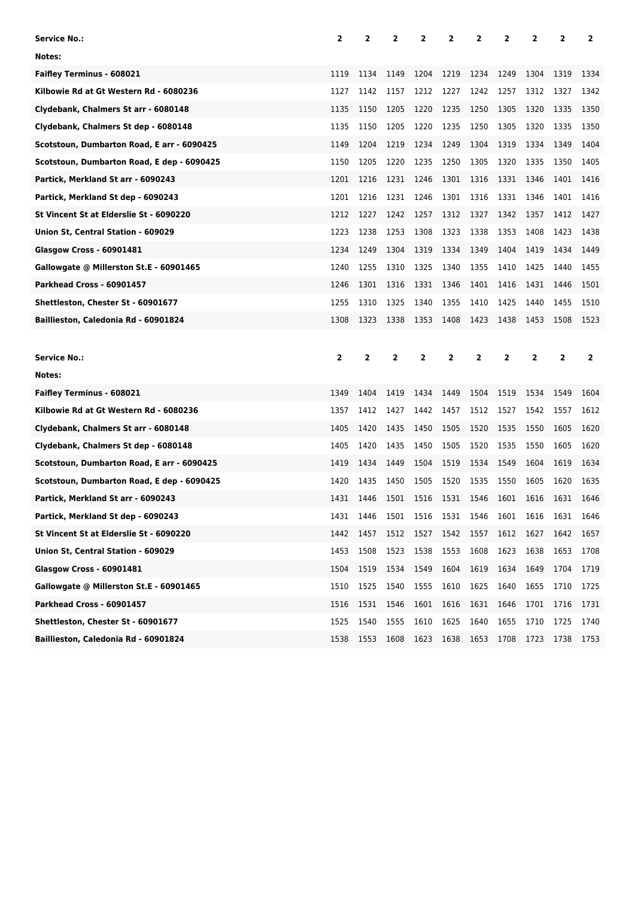| <b>Service No.:</b>                        | 2    | 2    | 2            | 2    | 2    | 2              | 2    | 2    | 2              | 2              |
|--------------------------------------------|------|------|--------------|------|------|----------------|------|------|----------------|----------------|
| Notes:                                     |      |      |              |      |      |                |      |      |                |                |
| <b>Faifley Terminus - 608021</b>           | 1119 | 1134 | 1149         | 1204 | 1219 | 1234           | 1249 | 1304 | 1319           | 1334           |
| Kilbowie Rd at Gt Western Rd - 6080236     | 1127 | 1142 | 1157         | 1212 | 1227 | 1242           | 1257 | 1312 | 1327           | 1342           |
| Clydebank, Chalmers St arr - 6080148       | 1135 | 1150 | 1205         | 1220 | 1235 | 1250           | 1305 | 1320 | 1335           | 1350           |
| Clydebank, Chalmers St dep - 6080148       | 1135 | 1150 | 1205         | 1220 | 1235 | 1250           | 1305 | 1320 | 1335           | 1350           |
| Scotstoun, Dumbarton Road, E arr - 6090425 | 1149 | 1204 | 1219         | 1234 | 1249 | 1304           | 1319 | 1334 | 1349           | 1404           |
| Scotstoun, Dumbarton Road, E dep - 6090425 | 1150 | 1205 | 1220         | 1235 | 1250 | 1305           | 1320 | 1335 | 1350           | 1405           |
| Partick, Merkland St arr - 6090243         | 1201 | 1216 | 1231         | 1246 | 1301 | 1316           | 1331 | 1346 | 1401           | 1416           |
| Partick, Merkland St dep - 6090243         | 1201 | 1216 | 1231         | 1246 | 1301 | 1316           | 1331 | 1346 | 1401           | 1416           |
| St Vincent St at Elderslie St - 6090220    | 1212 | 1227 | 1242         | 1257 | 1312 | 1327           | 1342 | 1357 | 1412           | 1427           |
| Union St, Central Station - 609029         | 1223 | 1238 | 1253         | 1308 | 1323 | 1338           | 1353 | 1408 | 1423           | 1438           |
| <b>Glasgow Cross - 60901481</b>            | 1234 | 1249 | 1304         | 1319 | 1334 | 1349           | 1404 | 1419 | 1434           | 1449           |
| Gallowgate @ Millerston St.E - 60901465    | 1240 | 1255 | 1310         | 1325 | 1340 | 1355           | 1410 | 1425 | 1440           | 1455           |
| Parkhead Cross - 60901457                  | 1246 | 1301 | 1316         | 1331 | 1346 | 1401           | 1416 | 1431 | 1446           | 1501           |
| Shettleston, Chester St - 60901677         | 1255 | 1310 | 1325         | 1340 | 1355 | 1410           | 1425 | 1440 | 1455           | 1510           |
| Baillieston, Caledonia Rd - 60901824       | 1308 | 1323 | 1338         | 1353 | 1408 | 1423           | 1438 | 1453 | 1508           | 1523           |
|                                            |      |      |              |      |      |                |      |      |                |                |
|                                            |      |      |              |      |      |                |      |      |                |                |
| <b>Service No.:</b>                        | 2    | 2    | $\mathbf{2}$ | 2    | 2    | $\overline{2}$ | 2    | 2    | $\overline{2}$ | $\overline{2}$ |
| Notes:                                     |      |      |              |      |      |                |      |      |                |                |
| <b>Faifley Terminus - 608021</b>           | 1349 | 1404 | 1419         | 1434 | 1449 | 1504           | 1519 | 1534 | 1549           | 1604           |
| Kilbowie Rd at Gt Western Rd - 6080236     | 1357 | 1412 | 1427         | 1442 | 1457 | 1512           | 1527 | 1542 | 1557           | 1612           |
| Clydebank, Chalmers St arr - 6080148       | 1405 | 1420 | 1435         | 1450 | 1505 | 1520           | 1535 | 1550 | 1605           | 1620           |
| Clydebank, Chalmers St dep - 6080148       | 1405 | 1420 | 1435         | 1450 | 1505 | 1520           | 1535 | 1550 | 1605           | 1620           |
| Scotstoun, Dumbarton Road, E arr - 6090425 | 1419 | 1434 | 1449         | 1504 | 1519 | 1534           | 1549 | 1604 | 1619           | 1634           |
| Scotstoun, Dumbarton Road, E dep - 6090425 | 1420 | 1435 | 1450         | 1505 | 1520 | 1535           | 1550 | 1605 | 1620           | 1635           |
| Partick, Merkland St arr - 6090243         | 1431 | 1446 | 1501         | 1516 | 1531 | 1546           | 1601 | 1616 | 1631           | 1646           |
| Partick, Merkland St dep - 6090243         | 1431 | 1446 | 1501         | 1516 | 1531 | 1546           | 1601 | 1616 | 1631           | 1646           |
| St Vincent St at Elderslie St - 6090220    | 1442 | 1457 | 1512         | 1527 | 1542 | 1557           | 1612 | 1627 | 1642           | 1657           |
| Union St, Central Station - 609029         | 1453 | 1508 | 1523         | 1538 | 1553 | 1608           | 1623 | 1638 | 1653           | 1708           |
| <b>Glasgow Cross - 60901481</b>            | 1504 | 1519 | 1534         | 1549 | 1604 | 1619           | 1634 | 1649 | 1704           | 1719           |
| Gallowgate @ Millerston St.E - 60901465    | 1510 | 1525 | 1540         | 1555 | 1610 | 1625           | 1640 | 1655 | 1710           | 1725           |
| Parkhead Cross - 60901457                  | 1516 | 1531 | 1546         | 1601 | 1616 | 1631           | 1646 | 1701 | 1716           | 1731           |
| Shettleston, Chester St - 60901677         | 1525 | 1540 | 1555         | 1610 | 1625 | 1640           | 1655 | 1710 | 1725           | 1740           |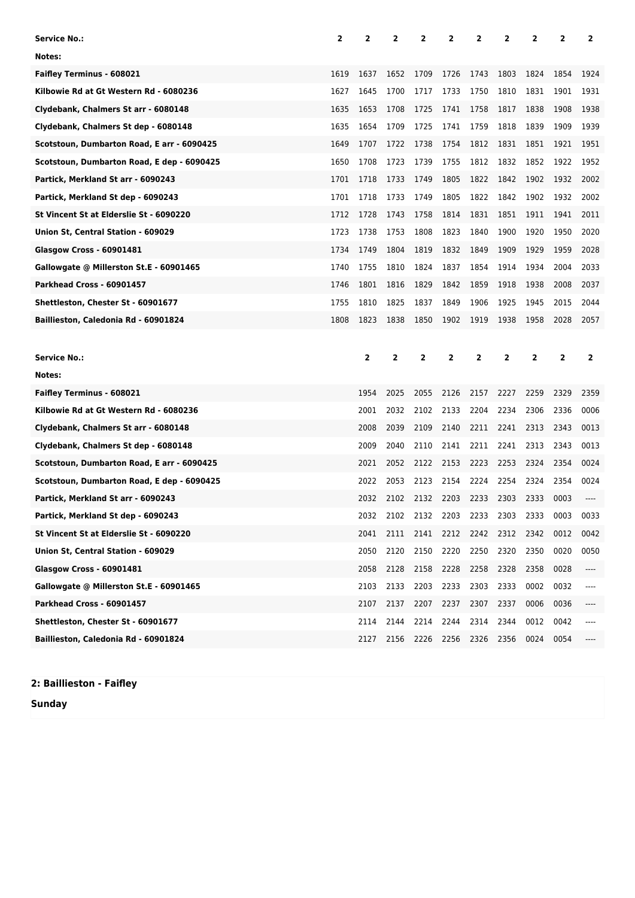| Service No.:                               | 2    | 2    | 2            | 2              | 2    | 2              | 2              | 2    | 2              | 2              |
|--------------------------------------------|------|------|--------------|----------------|------|----------------|----------------|------|----------------|----------------|
| Notes:                                     |      |      |              |                |      |                |                |      |                |                |
| <b>Faifley Terminus - 608021</b>           | 1619 | 1637 | 1652         | 1709           | 1726 | 1743           | 1803           | 1824 | 1854           | 1924           |
| Kilbowie Rd at Gt Western Rd - 6080236     | 1627 | 1645 | 1700         | 1717           | 1733 | 1750           | 1810           | 1831 | 1901           | 1931           |
| Clydebank, Chalmers St arr - 6080148       | 1635 | 1653 | 1708         | 1725           | 1741 | 1758           | 1817           | 1838 | 1908           | 1938           |
| Clydebank, Chalmers St dep - 6080148       | 1635 | 1654 | 1709         | 1725           | 1741 | 1759           | 1818           | 1839 | 1909           | 1939           |
| Scotstoun, Dumbarton Road, E arr - 6090425 | 1649 | 1707 | 1722         | 1738           | 1754 | 1812           | 1831           | 1851 | 1921           | 1951           |
| Scotstoun, Dumbarton Road, E dep - 6090425 | 1650 | 1708 | 1723         | 1739           | 1755 | 1812           | 1832           | 1852 | 1922           | 1952           |
| Partick, Merkland St arr - 6090243         | 1701 | 1718 | 1733         | 1749           | 1805 | 1822           | 1842           | 1902 | 1932           | 2002           |
| Partick, Merkland St dep - 6090243         | 1701 | 1718 | 1733         | 1749           | 1805 | 1822           | 1842           | 1902 | 1932           | 2002           |
| St Vincent St at Elderslie St - 6090220    | 1712 | 1728 | 1743         | 1758           | 1814 | 1831           | 1851           | 1911 | 1941           | 2011           |
| Union St, Central Station - 609029         | 1723 | 1738 | 1753         | 1808           | 1823 | 1840           | 1900           | 1920 | 1950           | 2020           |
| <b>Glasgow Cross - 60901481</b>            | 1734 | 1749 | 1804         | 1819           | 1832 | 1849           | 1909           | 1929 | 1959           | 2028           |
| Gallowgate @ Millerston St.E - 60901465    | 1740 | 1755 | 1810         | 1824           | 1837 | 1854           | 1914           | 1934 | 2004           | 2033           |
| Parkhead Cross - 60901457                  | 1746 | 1801 | 1816         | 1829           | 1842 | 1859           | 1918           | 1938 | 2008           | 2037           |
| Shettleston, Chester St - 60901677         | 1755 | 1810 | 1825         | 1837           | 1849 | 1906           | 1925           | 1945 | 2015           | 2044           |
| Baillieston, Caledonia Rd - 60901824       | 1808 | 1823 | 1838         | 1850           | 1902 | 1919           | 1938           | 1958 | 2028           | 2057           |
|                                            |      |      |              |                |      |                |                |      |                |                |
|                                            |      |      |              |                |      |                |                |      |                |                |
| <b>Service No.:</b>                        |      | 2    | $\mathbf{2}$ | $\overline{2}$ | 2    | $\overline{2}$ | $\overline{2}$ | 2    | $\overline{2}$ | $\overline{2}$ |
| Notes:                                     |      |      |              |                |      |                |                |      |                |                |
| <b>Faifley Terminus - 608021</b>           |      | 1954 | 2025         | 2055           | 2126 | 2157           | 2227           | 2259 | 2329           | 2359           |
| Kilbowie Rd at Gt Western Rd - 6080236     |      | 2001 | 2032         | 2102           | 2133 | 2204           | 2234           | 2306 | 2336           | 0006           |
| Clydebank, Chalmers St arr - 6080148       |      | 2008 | 2039         | 2109           | 2140 | 2211           | 2241           | 2313 | 2343           | 0013           |
| Clydebank, Chalmers St dep - 6080148       |      | 2009 | 2040         | 2110           | 2141 | 2211           | 2241           | 2313 | 2343           | 0013           |
| Scotstoun, Dumbarton Road, E arr - 6090425 |      | 2021 | 2052         | 2122           | 2153 | 2223           | 2253           | 2324 | 2354           | 0024           |
| Scotstoun, Dumbarton Road, E dep - 6090425 |      | 2022 | 2053         | 2123           | 2154 | 2224           | 2254           | 2324 | 2354           | 0024           |
| Partick, Merkland St arr - 6090243         |      | 2032 | 2102         | 2132           | 2203 | 2233           | 2303           | 2333 | 0003           | ----           |
| Partick, Merkland St dep - 6090243         |      | 2032 | 2102         | 2132           | 2203 | 2233           | 2303           | 2333 | 0003           | 0033           |
| St Vincent St at Elderslie St - 6090220    |      | 2041 | 2111         | 2141           | 2212 | 2242           | 2312           | 2342 | 0012           | 0042           |
| Union St, Central Station - 609029         |      | 2050 | 2120         | 2150           | 2220 | 2250           | 2320           | 2350 | 0020           | 0050           |
| <b>Glasgow Cross - 60901481</b>            |      | 2058 | 2128         | 2158           | 2228 | 2258           | 2328           | 2358 | 0028           | ----           |
| Gallowgate @ Millerston St.E - 60901465    |      | 2103 | 2133         | 2203           | 2233 | 2303           | 2333           | 0002 | 0032           | ----           |
| Parkhead Cross - 60901457                  |      | 2107 | 2137         | 2207           | 2237 | 2307           | 2337           | 0006 | 0036           | ----           |
| Shettleston, Chester St - 60901677         |      | 2114 | 2144         | 2214           | 2244 | 2314           | 2344           | 0012 | 0042           |                |

**2: Baillieston - Faifley**

**Sunday**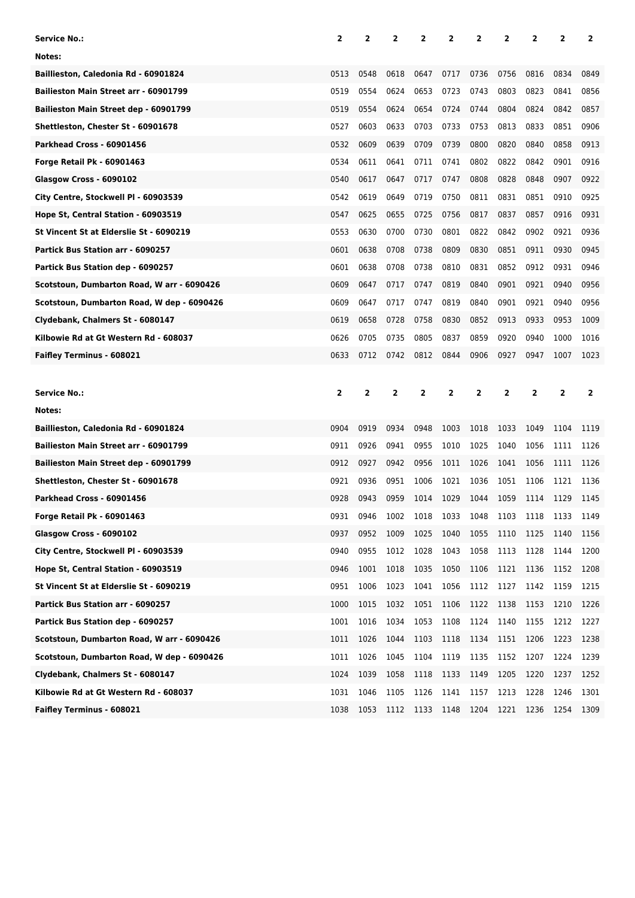| <b>Service No.:</b>                        | 2            | 2    | 2            | 2    | 2    | 2              | 2            | 2              | 2              | 2              |
|--------------------------------------------|--------------|------|--------------|------|------|----------------|--------------|----------------|----------------|----------------|
| Notes:                                     |              |      |              |      |      |                |              |                |                |                |
| Baillieston, Caledonia Rd - 60901824       | 0513         | 0548 | 0618         | 0647 | 0717 | 0736           | 0756         | 0816           | 0834           | 0849           |
| Bailieston Main Street arr - 60901799      | 0519         | 0554 | 0624         | 0653 | 0723 | 0743           | 0803         | 0823           | 0841           | 0856           |
| Bailieston Main Street dep - 60901799      | 0519         | 0554 | 0624         | 0654 | 0724 | 0744           | 0804         | 0824           | 0842           | 0857           |
| Shettleston, Chester St - 60901678         | 0527         | 0603 | 0633         | 0703 | 0733 | 0753           | 0813         | 0833           | 0851           | 0906           |
| Parkhead Cross - 60901456                  | 0532         | 0609 | 0639         | 0709 | 0739 | 0800           | 0820         | 0840           | 0858           | 0913           |
| <b>Forge Retail Pk - 60901463</b>          | 0534         | 0611 | 0641         | 0711 | 0741 | 0802           | 0822         | 0842           | 0901           | 0916           |
| Glasgow Cross - 6090102                    | 0540         | 0617 | 0647         | 0717 | 0747 | 0808           | 0828         | 0848           | 0907           | 0922           |
| City Centre, Stockwell PI - 60903539       | 0542         | 0619 | 0649         | 0719 | 0750 | 0811           | 0831         | 0851           | 0910           | 0925           |
| Hope St, Central Station - 60903519        | 0547         | 0625 | 0655         | 0725 | 0756 | 0817           | 0837         | 0857           | 0916           | 0931           |
| St Vincent St at Elderslie St - 6090219    | 0553         | 0630 | 0700         | 0730 | 0801 | 0822           | 0842         | 0902           | 0921           | 0936           |
| Partick Bus Station arr - 6090257          | 0601         | 0638 | 0708         | 0738 | 0809 | 0830           | 0851         | 0911           | 0930           | 0945           |
| Partick Bus Station dep - 6090257          | 0601         | 0638 | 0708         | 0738 | 0810 | 0831           | 0852         | 0912           | 0931           | 0946           |
| Scotstoun, Dumbarton Road, W arr - 6090426 | 0609         | 0647 | 0717         | 0747 | 0819 | 0840           | 0901         | 0921           | 0940           | 0956           |
| Scotstoun, Dumbarton Road, W dep - 6090426 | 0609         | 0647 | 0717         | 0747 | 0819 | 0840           | 0901         | 0921           | 0940           | 0956           |
| Clydebank, Chalmers St - 6080147           | 0619         | 0658 | 0728         | 0758 | 0830 | 0852           | 0913         | 0933           | 0953           | 1009           |
| Kilbowie Rd at Gt Western Rd - 608037      | 0626         | 0705 | 0735         | 0805 | 0837 | 0859           | 0920         | 0940           | 1000           | 1016           |
| Faifley Terminus - 608021                  | 0633         | 0712 | 0742         | 0812 | 0844 | 0906           | 0927         | 0947           | 1007           | 1023           |
|                                            |              |      |              |      |      |                |              |                |                |                |
|                                            |              |      |              |      |      |                |              |                |                |                |
| <b>Service No.:</b>                        | $\mathbf{2}$ | 2    | $\mathbf{2}$ | 2    | 2    | $\overline{2}$ | $\mathbf{2}$ | $\overline{2}$ | $\overline{2}$ | $\overline{2}$ |
| Notes:                                     |              |      |              |      |      |                |              |                |                |                |
| Baillieston, Caledonia Rd - 60901824       | 0904         | 0919 | 0934         | 0948 | 1003 | 1018           | 1033         | 1049           | 1104           | 1119           |
| Bailieston Main Street arr - 60901799      | 0911         | 0926 | 0941         | 0955 | 1010 | 1025           | 1040         | 1056           | 1111           | 1126           |
| Bailieston Main Street dep - 60901799      | 0912         | 0927 | 0942         | 0956 | 1011 | 1026           | 1041         | 1056           | 1111           | 1126           |
| Shettleston, Chester St - 60901678         | 0921         | 0936 | 0951         | 1006 | 1021 | 1036           | 1051         | 1106           | 1121           | 1136           |
| Parkhead Cross - 60901456                  | 0928         | 0943 | 0959         | 1014 | 1029 | 1044           | 1059         | 1114           | 1129           | 1145           |
| <b>Forge Retail Pk - 60901463</b>          | 0931         | 0946 | 1002         | 1018 | 1033 | 1048           | 1103         | 1118           | 1133           | 1149           |
| Glasgow Cross - 6090102                    | 0937         | 0952 | 1009         | 1025 | 1040 | 1055           | 1110         | 1125           | 1140           | 1156           |
| City Centre, Stockwell Pl - 60903539       | 0940         | 0955 | 1012         | 1028 | 1043 | 1058           | 1113         | 1128           | 1144           | 1200           |
| Hope St, Central Station - 60903519        | 0946         | 1001 | 1018         | 1035 | 1050 | 1106           | 1121         | 1136           | 1152           | 1208           |
| St Vincent St at Elderslie St - 6090219    | 0951         | 1006 | 1023         | 1041 | 1056 | 1112           | 1127         | 1142           | 1159           | 1215           |
| Partick Bus Station arr - 6090257          | 1000         | 1015 | 1032         | 1051 | 1106 | 1122           | 1138         | 1153           | 1210           | 1226           |
| Partick Bus Station dep - 6090257          | 1001         | 1016 | 1034         | 1053 | 1108 | 1124           | 1140         | 1155           | 1212           | 1227           |
| Scotstoun, Dumbarton Road, W arr - 6090426 | 1011         | 1026 | 1044         | 1103 | 1118 | 1134           | 1151         | 1206           | 1223           | 1238           |
| Scotstoun, Dumbarton Road, W dep - 6090426 | 1011         | 1026 | 1045         | 1104 | 1119 | 1135           | 1152         | 1207           | 1224           | 1239           |
| Clydebank, Chalmers St - 6080147           | 1024         | 1039 | 1058         | 1118 | 1133 | 1149           | 1205         | 1220           | 1237           | 1252           |
| Kilbowie Rd at Gt Western Rd - 608037      | 1031         | 1046 | 1105         | 1126 | 1141 | 1157           | 1213         | 1228           | 1246           | 1301           |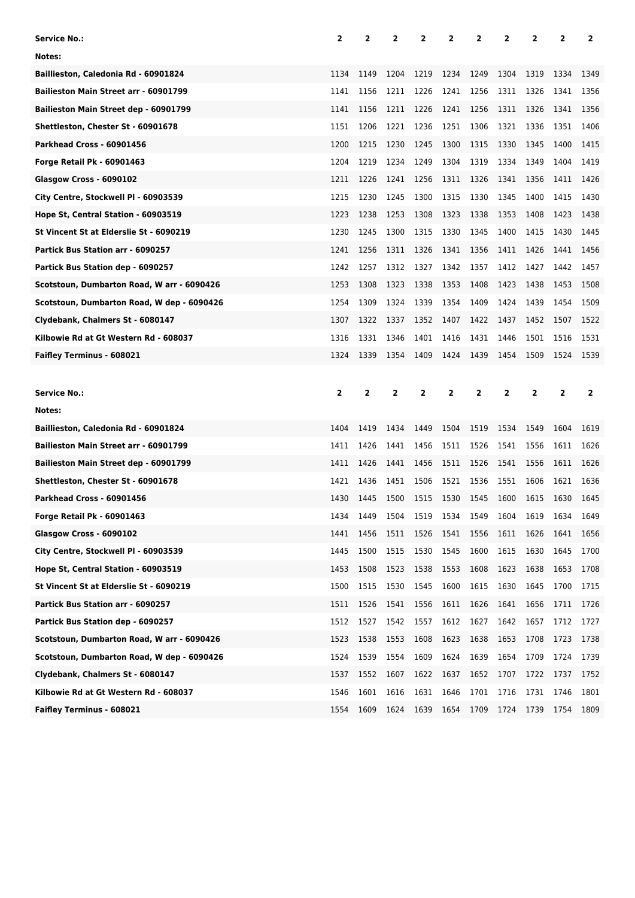| Service No.:                               | 2              | 2              | 2            | 2            | 2         | 2              | 2              | 2              | 2              | 2              |
|--------------------------------------------|----------------|----------------|--------------|--------------|-----------|----------------|----------------|----------------|----------------|----------------|
| Notes:                                     |                |                |              |              |           |                |                |                |                |                |
| Baillieston, Caledonia Rd - 60901824       | 1134           | 1149           | 1204         | 1219         | 1234      | 1249           | 1304           | 1319           | 1334           | 1349           |
| Bailieston Main Street arr - 60901799      | 1141           | 1156           | 1211         | 1226         | 1241      | 1256           | 1311           | 1326           | 1341           | 1356           |
| Bailieston Main Street dep - 60901799      | 1141           | 1156           | 1211         | 1226         | 1241      | 1256           | 1311           | 1326           | 1341           | 1356           |
| Shettleston, Chester St - 60901678         | 1151           | 1206           | 1221         | 1236         | 1251      | 1306           | 1321           | 1336           | 1351           | 1406           |
| Parkhead Cross - 60901456                  | 1200           | 1215           | 1230         | 1245         | 1300      | 1315           | 1330           | 1345           | 1400           | 1415           |
| Forge Retail Pk - 60901463                 | 1204           | 1219           | 1234         | 1249         | 1304      | 1319           | 1334           | 1349           | 1404           | 1419           |
| Glasgow Cross - 6090102                    | 1211           | 1226           | 1241         | 1256         | 1311      | 1326           | 1341           | 1356           | 1411           | 1426           |
| City Centre, Stockwell PI - 60903539       | 1215           | 1230           | 1245         | 1300         | 1315      | 1330           | 1345           | 1400           | 1415           | 1430           |
| Hope St, Central Station - 60903519        | 1223           | 1238           | 1253         | 1308         | 1323      | 1338           | 1353           | 1408           | 1423           | 1438           |
| St Vincent St at Elderslie St - 6090219    | 1230           | 1245           | 1300         | 1315         | 1330      | 1345           | 1400           | 1415           | 1430           | 1445           |
| Partick Bus Station arr - 6090257          | 1241           | 1256           | 1311         | 1326         | 1341      | 1356           | 1411           | 1426           | 1441           | 1456           |
| Partick Bus Station dep - 6090257          | 1242           | 1257           | 1312         | 1327         | 1342      | 1357           | 1412           | 1427           | 1442           | 1457           |
| Scotstoun, Dumbarton Road, W arr - 6090426 | 1253           | 1308           | 1323         | 1338         | 1353      | 1408           | 1423           | 1438           | 1453           | 1508           |
| Scotstoun, Dumbarton Road, W dep - 6090426 | 1254           | 1309           | 1324         | 1339         | 1354      | 1409           | 1424           | 1439           | 1454           | 1509           |
| Clydebank, Chalmers St - 6080147           | 1307           | 1322           | 1337         | 1352         | 1407      | 1422           | 1437           | 1452           | 1507           | 1522           |
| Kilbowie Rd at Gt Western Rd - 608037      | 1316           | 1331           | 1346         | 1401         | 1416      | 1431           | 1446           | 1501           | 1516           | 1531           |
| Faifley Terminus - 608021                  | 1324           | 1339           | 1354         | 1409         | 1424      | 1439           | 1454           | 1509           | 1524           | 1539           |
|                                            |                |                |              |              |           |                |                |                |                |                |
|                                            |                |                |              |              |           |                |                |                |                |                |
| Service No.:                               | $\overline{2}$ | $\overline{2}$ | $\mathbf{2}$ | $\mathbf{2}$ | 2         | $\overline{2}$ | $\overline{2}$ | $\overline{2}$ | $\overline{2}$ | $\overline{2}$ |
| Notes:                                     |                |                |              |              |           |                |                |                |                |                |
| Baillieston, Caledonia Rd - 60901824       | 1404           | 1419           | 1434         | 1449         | 1504      | 1519           | 1534           | 1549           | 1604           | 1619           |
| Bailieston Main Street arr - 60901799      | 1411           | 1426           | 1441         | 1456         | 1511      | 1526           | 1541           | 1556           | 1611           | 1626           |
| Bailieston Main Street dep - 60901799      | 1411           | 1426           | 1441         | 1456         | 1511      | 1526           | 1541           | 1556           | 1611           | 1626           |
| Shettleston, Chester St - 60901678         | 1421           | 1436           | 1451         | 1506         | 1521      | 1536           | 1551           | 1606           | 1621           | 1636           |
| Parkhead Cross - 60901456                  | 1430           | 1445           | 1500         | 1515         | 1530      | 1545           | 1600           | 1615           | 1630           | 1645           |
| Forge Retail Pk - 60901463                 | 1434           | 1449           | 1504         | 1519         | 1534 1549 |                | 1604           | 1619           | 1634           | 1649           |
| Glasgow Cross - 6090102                    | 1441           | 1456           | 1511         | 1526         | 1541      | 1556           | 1611           | 1626           | 1641           | 1656           |
| City Centre, Stockwell Pl - 60903539       | 1445           | 1500           | 1515         | 1530         | 1545      | 1600           | 1615           | 1630           | 1645           | 1700           |
| Hope St, Central Station - 60903519        | 1453           | 1508           | 1523         | 1538         | 1553      | 1608           | 1623           | 1638           | 1653           | 1708           |
| St Vincent St at Elderslie St - 6090219    | 1500           | 1515           | 1530         | 1545         | 1600      | 1615           | 1630           | 1645           | 1700           | 1715           |
| Partick Bus Station arr - 6090257          | 1511           | 1526           | 1541         | 1556         | 1611      | 1626           | 1641           | 1656           | 1711           | 1726           |
| Partick Bus Station dep - 6090257          | 1512           | 1527           | 1542         | 1557         | 1612      | 1627           | 1642           | 1657           | 1712           | 1727           |
| Scotstoun, Dumbarton Road, W arr - 6090426 | 1523           | 1538           | 1553         | 1608         | 1623      | 1638           | 1653           | 1708           | 1723           | 1738           |
| Scotstoun, Dumbarton Road, W dep - 6090426 | 1524           | 1539           | 1554         | 1609         | 1624      | 1639           | 1654           | 1709           | 1724           | 1739           |
| Clydebank, Chalmers St - 6080147           | 1537           | 1552           | 1607         | 1622         | 1637      | 1652           | 1707           | 1722           | 1737           | 1752           |
| Kilbowie Rd at Gt Western Rd - 608037      | 1546           | 1601           | 1616         | 1631         | 1646      | 1701           | 1716           | 1731           | 1746           | 1801           |